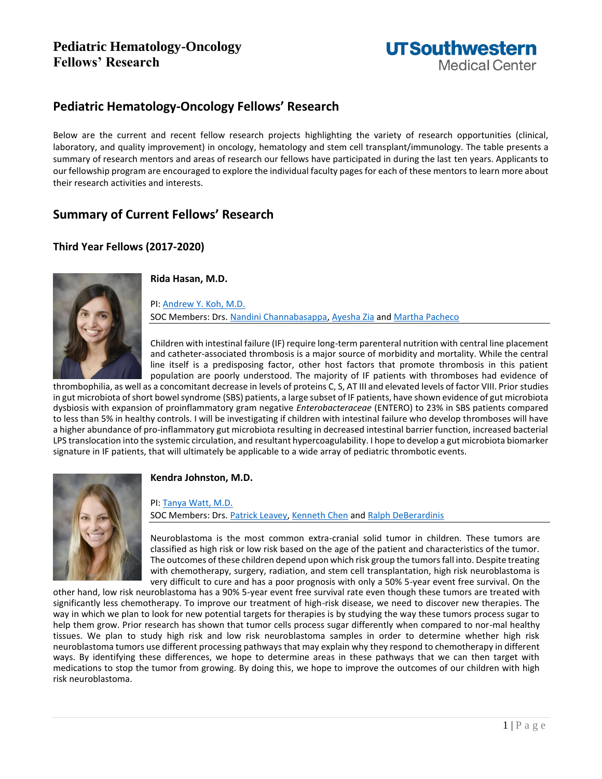# **Pediatric Hematology-Oncology Fellows' Research**



# **Pediatric Hematology-Oncology Fellows' Research**

Below are the current and recent fellow research projects highlighting the variety of research opportunities (clinical, laboratory, and quality improvement) in oncology, hematology and stem cell transplant/immunology. The table presents a summary of research mentors and areas of research our fellows have participated in during the last ten years. Applicants to our fellowship program are encouraged to explore the individual faculty pages for each of these mentors to learn more about their research activities and interests.

# **Summary of Current Fellows' Research**

## **Third Year Fellows (2017-2020)**



**Rida Hasan, M.D.**

PI[: Andrew Y. Koh, M.D.](https://profiles.utsouthwestern.edu/profile/109974/andrew-koh.html) SOC Members: Drs. [Nandini Channabasappa,](https://profiles.utsouthwestern.edu/profile/77152/nandini-channabasappa.html) [Ayesha Zia](https://profiles.utsouthwestern.edu/profile/149180/ayesha-zia.html) an[d Martha Pacheco](https://profiles.utsouthwestern.edu/profile/42311/martha-pacheco.html)

Children with intestinal failure (IF) require long-term parenteral nutrition with central line placement and catheter-associated thrombosis is a major source of morbidity and mortality. While the central line itself is a predisposing factor, other host factors that promote thrombosis in this patient population are poorly understood. The majority of IF patients with thromboses had evidence of

thrombophilia, as well as a concomitant decrease in levels of proteins C, S, AT III and elevated levels of factor VIII. Prior studies in gut microbiota of short bowel syndrome (SBS) patients, a large subset of IF patients, have shown evidence of gut microbiota dysbiosis with expansion of proinflammatory gram negative *Enterobacteraceae* (ENTERO) to 23% in SBS patients compared to less than 5% in healthy controls. I will be investigating if children with intestinal failure who develop thromboses will have a higher abundance of pro-inflammatory gut microbiota resulting in decreased intestinal barrier function, increased bacterial LPS translocation into the systemic circulation, and resultant hypercoagulability. I hope to develop a gut microbiota biomarker signature in IF patients, that will ultimately be applicable to a wide array of pediatric thrombotic events.



## **Kendra Johnston, M.D.**

PI[: Tanya Watt, M.D.](https://profiles.utsouthwestern.edu/profile/128737/tanya-watt.html) SOC Members: Drs. [Patrick Leavey,](https://profiles.utsouthwestern.edu/profile/35610/patrick-leavey.html) [Kenneth Chen](https://profiles.utsouthwestern.edu/profile/55464/kenneth-chen.html) and [Ralph DeBerardinis](https://profiles.utsouthwestern.edu/profile/99018/ralph-deberardinis.html)

Neuroblastoma is the most common extra-cranial solid tumor in children. These tumors are classified as high risk or low risk based on the age of the patient and characteristics of the tumor. The outcomes of these children depend upon which risk group the tumors fall into. Despite treating with chemotherapy, surgery, radiation, and stem cell transplantation, high risk neuroblastoma is very difficult to cure and has a poor prognosis with only a 50% 5-year event free survival. On the

other hand, low risk neuroblastoma has a 90% 5-year event free survival rate even though these tumors are treated with significantly less chemotherapy. To improve our treatment of high-risk disease, we need to discover new therapies. The way in which we plan to look for new potential targets for therapies is by studying the way these tumors process sugar to help them grow. Prior research has shown that tumor cells process sugar differently when compared to nor-mal healthy tissues. We plan to study high risk and low risk neuroblastoma samples in order to determine whether high risk neuroblastoma tumors use different processing pathways that may explain why they respond to chemotherapy in different ways. By identifying these differences, we hope to determine areas in these pathways that we can then target with medications to stop the tumor from growing. By doing this, we hope to improve the outcomes of our children with high risk neuroblastoma.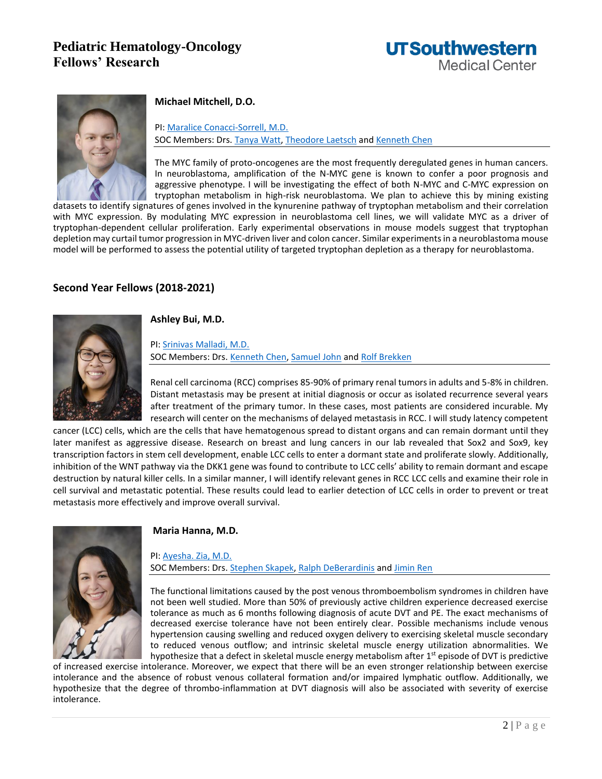



### **Michael Mitchell, D.O.**

PI: [Maralice Conacci-Sorrell, M.D.](https://profiles.utsouthwestern.edu/profile/165100/maralice-conacci-sorrell.html) SOC Members: Drs[. Tanya Watt,](https://profiles.utsouthwestern.edu/profile/128737/tanya-watt.html) [Theodore Laetsch](https://profiles.utsouthwestern.edu/profile/148176/theodore-laetsch.html) an[d Kenneth Chen](https://profiles.utsouthwestern.edu/profile/55464/kenneth-chen.html)

The MYC family of proto-oncogenes are the most frequently deregulated genes in human cancers. In neuroblastoma, amplification of the N-MYC gene is known to confer a poor prognosis and aggressive phenotype. I will be investigating the effect of both N-MYC and C-MYC expression on tryptophan metabolism in high-risk neuroblastoma. We plan to achieve this by mining existing

datasets to identify signatures of genes involved in the kynurenine pathway of tryptophan metabolism and their correlation with MYC expression. By modulating MYC expression in neuroblastoma cell lines, we will validate MYC as a driver of tryptophan-dependent cellular proliferation. Early experimental observations in mouse models suggest that tryptophan depletion may curtail tumor progression in MYC-driven liver and colon cancer. Similar experiments in a neuroblastoma mouse model will be performed to assess the potential utility of targeted tryptophan depletion as a therapy for neuroblastoma.

### **Second Year Fellows (2018-2021)**



#### **Ashley Bui, M.D.**

PI[: Srinivas Malladi, M.D.](https://profiles.utsouthwestern.edu/profile/173686/srinivas-malladi.html) SOC Members: Drs. [Kenneth Chen,](https://profiles.utsouthwestern.edu/profile/55464/kenneth-chen.html) [Samuel John](https://profiles.utsouthwestern.edu/profile/125571/samuel-john.html) an[d Rolf Brekken](https://profiles.utsouthwestern.edu/profile/10808/rolf-brekken.html)

Renal cell carcinoma (RCC) comprises 85-90% of primary renal tumors in adults and 5-8% in children. Distant metastasis may be present at initial diagnosis or occur as isolated recurrence several years after treatment of the primary tumor. In these cases, most patients are considered incurable. My research will center on the mechanisms of delayed metastasis in RCC. I will study latency competent

cancer (LCC) cells, which are the cells that have hematogenous spread to distant organs and can remain dormant until they later manifest as aggressive disease. Research on breast and lung cancers in our lab revealed that Sox2 and Sox9, key transcription factors in stem cell development, enable LCC cells to enter a dormant state and proliferate slowly. Additionally, inhibition of the WNT pathway via the DKK1 gene was found to contribute to LCC cells' ability to remain dormant and escape destruction by natural killer cells. In a similar manner, I will identify relevant genes in RCC LCC cells and examine their role in cell survival and metastatic potential. These results could lead to earlier detection of LCC cells in order to prevent or treat metastasis more effectively and improve overall survival.



### **Maria Hanna, M.D.**

PI[: Ayesha. Zia, M.D.](https://profiles.utsouthwestern.edu/profile/149180/ayesha-zia.html) SOC Members: Drs. [Stephen Skapek,](https://profiles.utsouthwestern.edu/profile/125863/stephen-skapek.html) [Ralph DeBerardinis](https://profiles.utsouthwestern.edu/profile/99018/ralph-deberardinis.html) and [Jimin Ren](https://profiles.utsouthwestern.edu/profile/70867/jimin-ren.html)

The functional limitations caused by the post venous thromboembolism syndromes in children have not been well studied. More than 50% of previously active children experience decreased exercise tolerance as much as 6 months following diagnosis of acute DVT and PE. The exact mechanisms of decreased exercise tolerance have not been entirely clear. Possible mechanisms include venous hypertension causing swelling and reduced oxygen delivery to exercising skeletal muscle secondary to reduced venous outflow; and intrinsic skeletal muscle energy utilization abnormalities. We hypothesize that a defect in skeletal muscle energy metabolism after  $1<sup>st</sup>$  episode of DVT is predictive

of increased exercise intolerance. Moreover, we expect that there will be an even stronger relationship between exercise intolerance and the absence of robust venous collateral formation and/or impaired lymphatic outflow. Additionally, we hypothesize that the degree of thrombo-inflammation at DVT diagnosis will also be associated with severity of exercise intolerance.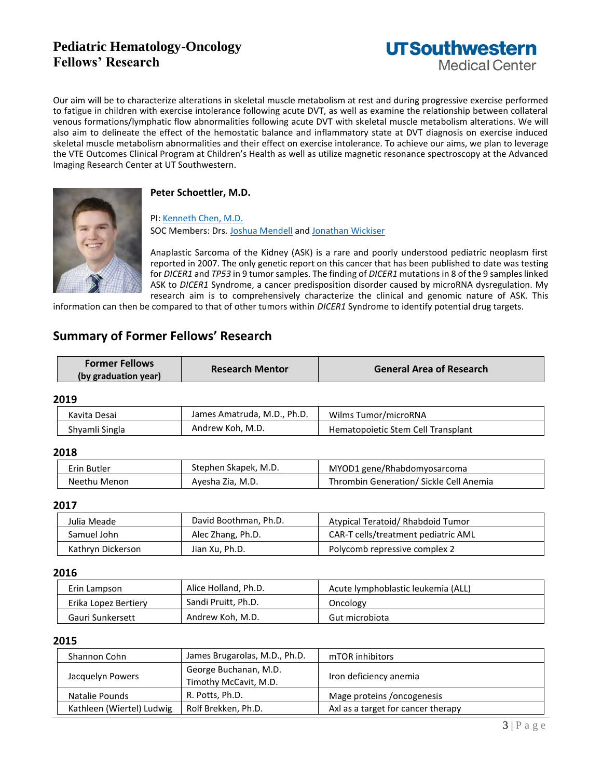# **Pediatric Hematology-Oncology Fellows' Research**



Our aim will be to characterize alterations in skeletal muscle metabolism at rest and during progressive exercise performed to fatigue in children with exercise intolerance following acute DVT, as well as examine the relationship between collateral venous formations/lymphatic flow abnormalities following acute DVT with skeletal muscle metabolism alterations. We will also aim to delineate the effect of the hemostatic balance and inflammatory state at DVT diagnosis on exercise induced skeletal muscle metabolism abnormalities and their effect on exercise intolerance. To achieve our aims, we plan to leverage the VTE Outcomes Clinical Program at Children's Health as well as utilize magnetic resonance spectroscopy at the Advanced Imaging Research Center at UT Southwestern.



#### **Peter Schoettler, M.D.**

PI[: Kenneth Chen, M.D.](https://profiles.utsouthwestern.edu/profile/55464/kenneth-chen.html) SOC Members: Drs. [Joshua Mendell](https://profiles.utsouthwestern.edu/profile/125382/joshua-mendell.html) an[d Jonathan Wickiser](https://profiles.utsouthwestern.edu/profile/60058/jonathan-wickiser.html)

Anaplastic Sarcoma of the Kidney (ASK) is a rare and poorly understood pediatric neoplasm first reported in 2007. The only genetic report on this cancer that has been published to date was testing for *DICER1* and *TP53* in 9 tumor samples. The finding of *DICER1* mutations in 8 of the 9 samples linked ASK to *DICER1* Syndrome, a cancer predisposition disorder caused by microRNA dysregulation. My research aim is to comprehensively characterize the clinical and genomic nature of ASK. This

information can then be compared to that of other tumors within *DICER1* Syndrome to identify potential drug targets.

# **Summary of Former Fellows' Research**

| <b>Former Fellows</b> | <b>Research Mentor</b> | <b>General Area of Research</b> |
|-----------------------|------------------------|---------------------------------|
| (by graduation year)  |                        |                                 |

#### **2019**

| Kavita Desai   | James Amatruda, M.D., Ph.D. | Wilms Tumor/microRNA               |
|----------------|-----------------------------|------------------------------------|
| Shyamli Singla | Andrew Koh, M.D.            | Hematopoietic Stem Cell Transplant |

#### **2018**

| Erin Butler  | Stephen Skapek, M.D. | MYOD1 gene/Rhabdomyosarcoma             |
|--------------|----------------------|-----------------------------------------|
| Neethu Menon | Ayesha Zia, M.D.     | Thrombin Generation/ Sickle Cell Anemia |

#### **2017**

| Julia Meade       | David Boothman, Ph.D. | Atypical Teratoid/ Rhabdoid Tumor   |
|-------------------|-----------------------|-------------------------------------|
| Samuel John       | Alec Zhang, Ph.D.     | CAR-T cells/treatment pediatric AML |
| Kathryn Dickerson | Jian Xu, Ph.D.        | Polycomb repressive complex 2       |

#### **2016**

| Erin Lampson         | Alice Holland, Ph.D. | Acute lymphoblastic leukemia (ALL) |
|----------------------|----------------------|------------------------------------|
| Erika Lopez Bertiery | Sandi Pruitt, Ph.D.  | Oncology                           |
| Gauri Sunkersett     | Andrew Koh, M.D.     | Gut microbiota                     |

#### **2015**

| Shannon Cohn              | James Brugarolas, M.D., Ph.D.                  | mTOR inhibitors                    |
|---------------------------|------------------------------------------------|------------------------------------|
| Jacquelyn Powers          | George Buchanan, M.D.<br>Timothy McCavit, M.D. | Iron deficiency anemia             |
| Natalie Pounds            | R. Potts, Ph.D.                                | Mage proteins / oncogenesis        |
| Kathleen (Wiertel) Ludwig | Rolf Brekken, Ph.D.                            | Axl as a target for cancer therapy |